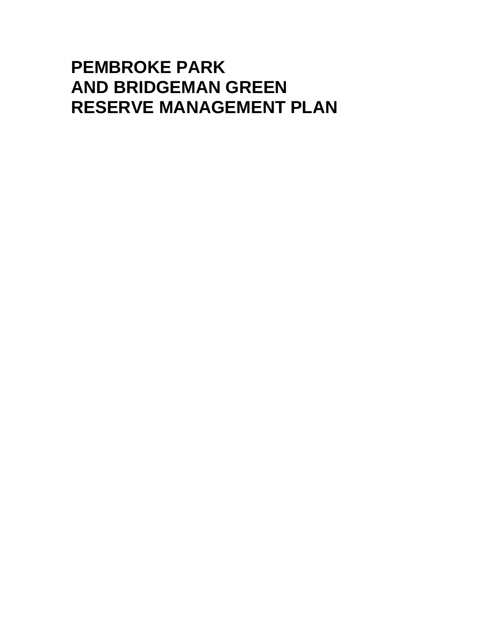# **PEMBROKE PARK AND BRIDGEMAN GREEN RESERVE MANAGEMENT PLAN**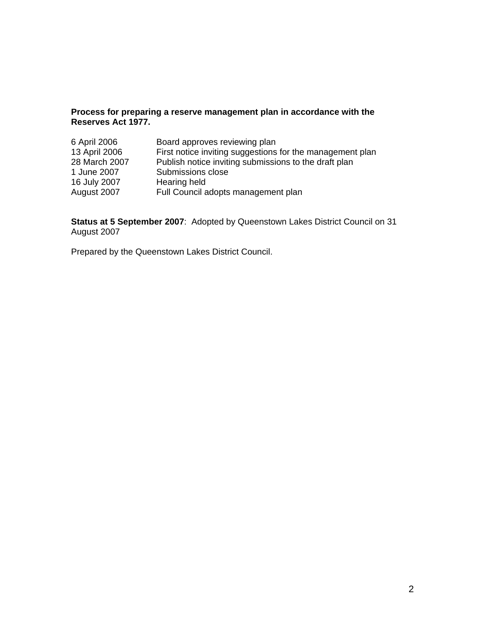### **Process for preparing a reserve management plan in accordance with the Reserves Act 1977.**

| 6 April 2006  | Board approves reviewing plan                             |
|---------------|-----------------------------------------------------------|
| 13 April 2006 | First notice inviting suggestions for the management plan |
| 28 March 2007 | Publish notice inviting submissions to the draft plan     |
| 1 June 2007   | Submissions close                                         |
| 16 July 2007  | Hearing held                                              |
| August 2007   | Full Council adopts management plan                       |

**Status at 5 September 2007**: Adopted by Queenstown Lakes District Council on 31 August 2007

Prepared by the Queenstown Lakes District Council.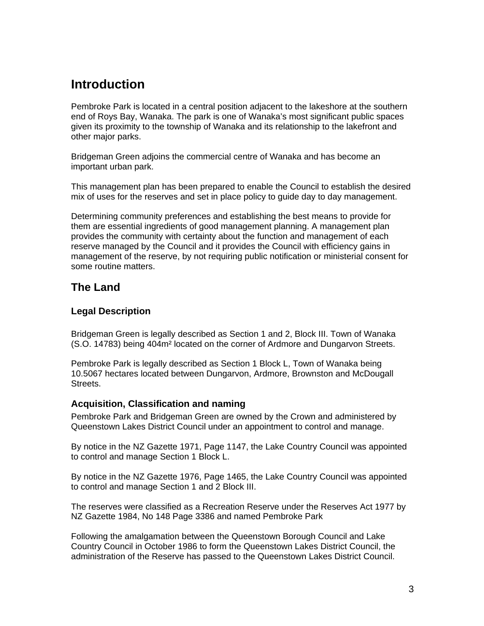# **Introduction**

Pembroke Park is located in a central position adjacent to the lakeshore at the southern end of Roys Bay, Wanaka. The park is one of Wanaka's most significant public spaces given its proximity to the township of Wanaka and its relationship to the lakefront and other major parks.

Bridgeman Green adjoins the commercial centre of Wanaka and has become an important urban park.

This management plan has been prepared to enable the Council to establish the desired mix of uses for the reserves and set in place policy to guide day to day management.

Determining community preferences and establishing the best means to provide for them are essential ingredients of good management planning. A management plan provides the community with certainty about the function and management of each reserve managed by the Council and it provides the Council with efficiency gains in management of the reserve, by not requiring public notification or ministerial consent for some routine matters.

# **The Land**

### **Legal Description**

Bridgeman Green is legally described as Section 1 and 2, Block III. Town of Wanaka (S.O. 14783) being 404m² located on the corner of Ardmore and Dungarvon Streets.

Pembroke Park is legally described as Section 1 Block L, Town of Wanaka being 10.5067 hectares located between Dungarvon, Ardmore, Brownston and McDougall Streets.

### **Acquisition, Classification and naming**

Pembroke Park and Bridgeman Green are owned by the Crown and administered by Queenstown Lakes District Council under an appointment to control and manage.

By notice in the NZ Gazette 1971, Page 1147, the Lake Country Council was appointed to control and manage Section 1 Block L.

By notice in the NZ Gazette 1976, Page 1465, the Lake Country Council was appointed to control and manage Section 1 and 2 Block III.

The reserves were classified as a Recreation Reserve under the Reserves Act 1977 by NZ Gazette 1984, No 148 Page 3386 and named Pembroke Park

Following the amalgamation between the Queenstown Borough Council and Lake Country Council in October 1986 to form the Queenstown Lakes District Council, the administration of the Reserve has passed to the Queenstown Lakes District Council.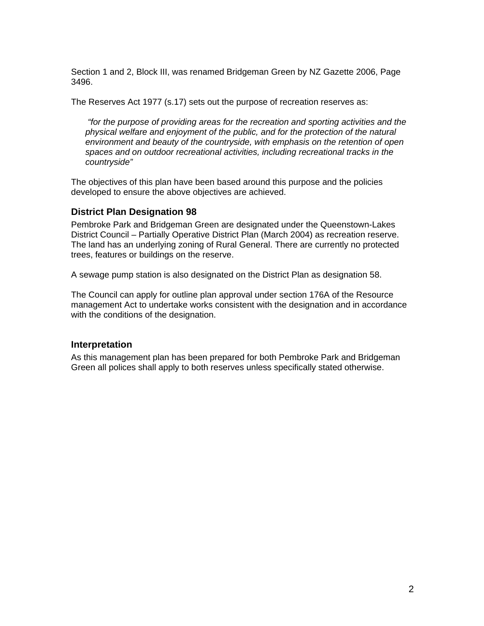Section 1 and 2, Block III, was renamed Bridgeman Green by NZ Gazette 2006, Page 3496.

The Reserves Act 1977 (s.17) sets out the purpose of recreation reserves as:

*"for the purpose of providing areas for the recreation and sporting activities and the physical welfare and enjoyment of the public, and for the protection of the natural environment and beauty of the countryside, with emphasis on the retention of open spaces and on outdoor recreational activities, including recreational tracks in the countryside"* 

The objectives of this plan have been based around this purpose and the policies developed to ensure the above objectives are achieved.

### **District Plan Designation 98**

Pembroke Park and Bridgeman Green are designated under the Queenstown-Lakes District Council – Partially Operative District Plan (March 2004) as recreation reserve. The land has an underlying zoning of Rural General. There are currently no protected trees, features or buildings on the reserve.

A sewage pump station is also designated on the District Plan as designation 58.

The Council can apply for outline plan approval under section 176A of the Resource management Act to undertake works consistent with the designation and in accordance with the conditions of the designation.

#### **Interpretation**

As this management plan has been prepared for both Pembroke Park and Bridgeman Green all polices shall apply to both reserves unless specifically stated otherwise.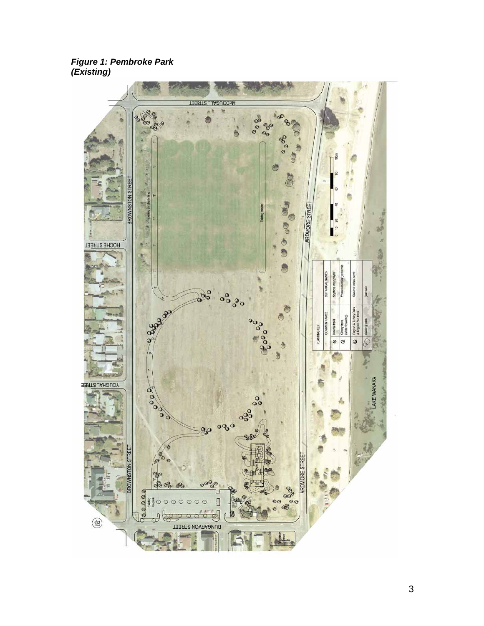*Figure 1: Pembroke Park (Existing)*

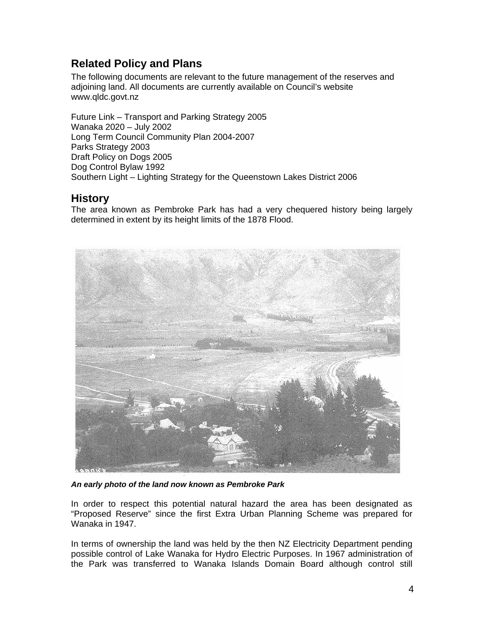# **Related Policy and Plans**

The following documents are relevant to the future management of the reserves and adjoining land. All documents are currently available on Council's website www.qldc.govt.nz

Future Link – Transport and Parking Strategy 2005 Wanaka 2020 – July 2002 Long Term Council Community Plan 2004-2007 Parks Strategy 2003 Draft Policy on Dogs 2005 Dog Control Bylaw 1992 Southern Light – Lighting Strategy for the Queenstown Lakes District 2006

# **History**

The area known as Pembroke Park has had a very chequered history being largely determined in extent by its height limits of the 1878 Flood.



*An early photo of the land now known as Pembroke Park* 

In order to respect this potential natural hazard the area has been designated as "Proposed Reserve" since the first Extra Urban Planning Scheme was prepared for Wanaka in 1947.

In terms of ownership the land was held by the then NZ Electricity Department pending possible control of Lake Wanaka for Hydro Electric Purposes. In 1967 administration of the Park was transferred to Wanaka Islands Domain Board although control still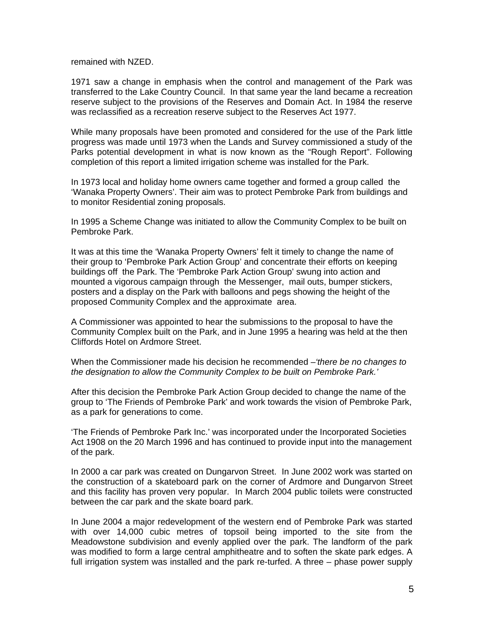remained with NZED.

1971 saw a change in emphasis when the control and management of the Park was transferred to the Lake Country Council. In that same year the land became a recreation reserve subject to the provisions of the Reserves and Domain Act. In 1984 the reserve was reclassified as a recreation reserve subject to the Reserves Act 1977.

While many proposals have been promoted and considered for the use of the Park little progress was made until 1973 when the Lands and Survey commissioned a study of the Parks potential development in what is now known as the "Rough Report". Following completion of this report a limited irrigation scheme was installed for the Park.

In 1973 local and holiday home owners came together and formed a group called the 'Wanaka Property Owners'. Their aim was to protect Pembroke Park from buildings and to monitor Residential zoning proposals.

In 1995 a Scheme Change was initiated to allow the Community Complex to be built on Pembroke Park.

It was at this time the 'Wanaka Property Owners' felt it timely to change the name of their group to 'Pembroke Park Action Group' and concentrate their efforts on keeping buildings off the Park. The 'Pembroke Park Action Group' swung into action and mounted a vigorous campaign through the Messenger, mail outs, bumper stickers, posters and a display on the Park with balloons and pegs showing the height of the proposed Community Complex and the approximate area.

A Commissioner was appointed to hear the submissions to the proposal to have the Community Complex built on the Park, and in June 1995 a hearing was held at the then Cliffords Hotel on Ardmore Street.

When the Commissioner made his decision he recommended –*'there be no changes to the designation to allow the Community Complex to be built on Pembroke Park.'* 

After this decision the Pembroke Park Action Group decided to change the name of the group to 'The Friends of Pembroke Park' and work towards the vision of Pembroke Park, as a park for generations to come.

'The Friends of Pembroke Park Inc.' was incorporated under the Incorporated Societies Act 1908 on the 20 March 1996 and has continued to provide input into the management of the park.

In 2000 a car park was created on Dungarvon Street. In June 2002 work was started on the construction of a skateboard park on the corner of Ardmore and Dungarvon Street and this facility has proven very popular. In March 2004 public toilets were constructed between the car park and the skate board park.

In June 2004 a major redevelopment of the western end of Pembroke Park was started with over 14,000 cubic metres of topsoil being imported to the site from the Meadowstone subdivision and evenly applied over the park. The landform of the park was modified to form a large central amphitheatre and to soften the skate park edges. A full irrigation system was installed and the park re-turfed. A three – phase power supply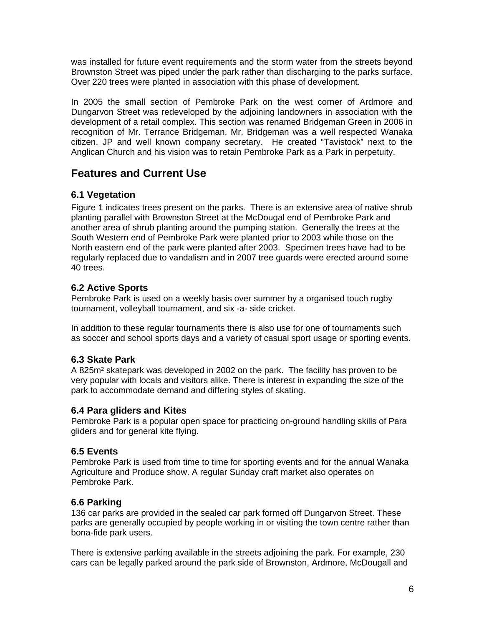was installed for future event requirements and the storm water from the streets beyond Brownston Street was piped under the park rather than discharging to the parks surface. Over 220 trees were planted in association with this phase of development.

In 2005 the small section of Pembroke Park on the west corner of Ardmore and Dungarvon Street was redeveloped by the adjoining landowners in association with the development of a retail complex. This section was renamed Bridgeman Green in 2006 in recognition of Mr. Terrance Bridgeman. Mr. Bridgeman was a well respected Wanaka citizen, JP and well known company secretary. He created "Tavistock" next to the Anglican Church and his vision was to retain Pembroke Park as a Park in perpetuity.

# **Features and Current Use**

### **6.1 Vegetation**

Figure 1 indicates trees present on the parks. There is an extensive area of native shrub planting parallel with Brownston Street at the McDougal end of Pembroke Park and another area of shrub planting around the pumping station. Generally the trees at the South Western end of Pembroke Park were planted prior to 2003 while those on the North eastern end of the park were planted after 2003. Specimen trees have had to be regularly replaced due to vandalism and in 2007 tree guards were erected around some 40 trees.

### **6.2 Active Sports**

Pembroke Park is used on a weekly basis over summer by a organised touch rugby tournament, volleyball tournament, and six -a- side cricket.

In addition to these regular tournaments there is also use for one of tournaments such as soccer and school sports days and a variety of casual sport usage or sporting events.

### **6.3 Skate Park**

A 825m² skatepark was developed in 2002 on the park. The facility has proven to be very popular with locals and visitors alike. There is interest in expanding the size of the park to accommodate demand and differing styles of skating.

### **6.4 Para gliders and Kites**

Pembroke Park is a popular open space for practicing on-ground handling skills of Para gliders and for general kite flying.

### **6.5 Events**

Pembroke Park is used from time to time for sporting events and for the annual Wanaka Agriculture and Produce show. A regular Sunday craft market also operates on Pembroke Park.

### **6.6 Parking**

136 car parks are provided in the sealed car park formed off Dungarvon Street. These parks are generally occupied by people working in or visiting the town centre rather than bona-fide park users.

There is extensive parking available in the streets adjoining the park. For example, 230 cars can be legally parked around the park side of Brownston, Ardmore, McDougall and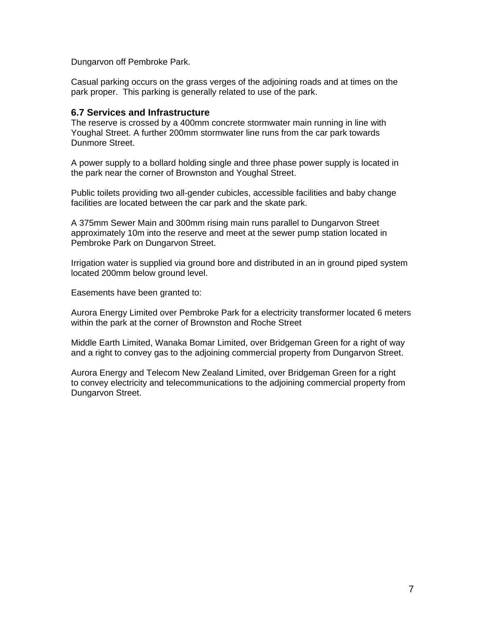Dungarvon off Pembroke Park.

Casual parking occurs on the grass verges of the adjoining roads and at times on the park proper. This parking is generally related to use of the park.

### **6.7 Services and Infrastructure**

The reserve is crossed by a 400mm concrete stormwater main running in line with Youghal Street. A further 200mm stormwater line runs from the car park towards Dunmore Street.

A power supply to a bollard holding single and three phase power supply is located in the park near the corner of Brownston and Youghal Street.

Public toilets providing two all-gender cubicles, accessible facilities and baby change facilities are located between the car park and the skate park.

A 375mm Sewer Main and 300mm rising main runs parallel to Dungarvon Street approximately 10m into the reserve and meet at the sewer pump station located in Pembroke Park on Dungarvon Street.

Irrigation water is supplied via ground bore and distributed in an in ground piped system located 200mm below ground level.

Easements have been granted to:

Aurora Energy Limited over Pembroke Park for a electricity transformer located 6 meters within the park at the corner of Brownston and Roche Street

Middle Earth Limited, Wanaka Bomar Limited, over Bridgeman Green for a right of way and a right to convey gas to the adjoining commercial property from Dungarvon Street.

Aurora Energy and Telecom New Zealand Limited, over Bridgeman Green for a right to convey electricity and telecommunications to the adjoining commercial property from Dungarvon Street.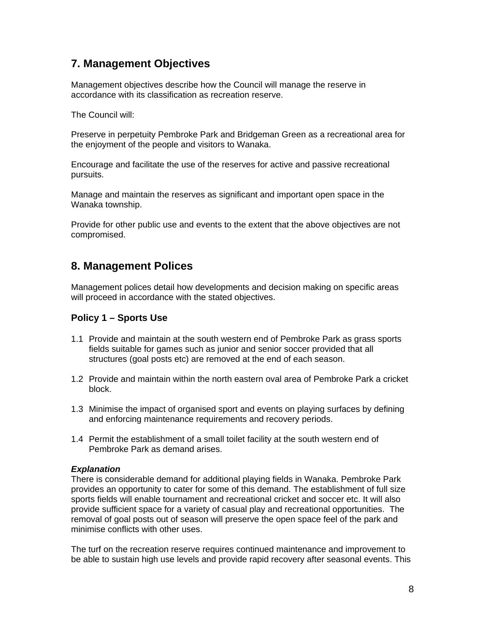# **7. Management Objectives**

Management objectives describe how the Council will manage the reserve in accordance with its classification as recreation reserve.

The Council will:

Preserve in perpetuity Pembroke Park and Bridgeman Green as a recreational area for the enjoyment of the people and visitors to Wanaka.

Encourage and facilitate the use of the reserves for active and passive recreational pursuits.

Manage and maintain the reserves as significant and important open space in the Wanaka township.

Provide for other public use and events to the extent that the above objectives are not compromised.

# **8. Management Polices**

Management polices detail how developments and decision making on specific areas will proceed in accordance with the stated objectives.

### **Policy 1 – Sports Use**

- 1.1 Provide and maintain at the south western end of Pembroke Park as grass sports fields suitable for games such as junior and senior soccer provided that all structures (goal posts etc) are removed at the end of each season.
- 1.2 Provide and maintain within the north eastern oval area of Pembroke Park a cricket block.
- 1.3 Minimise the impact of organised sport and events on playing surfaces by defining and enforcing maintenance requirements and recovery periods.
- 1.4 Permit the establishment of a small toilet facility at the south western end of Pembroke Park as demand arises.

### *Explanation*

There is considerable demand for additional playing fields in Wanaka. Pembroke Park provides an opportunity to cater for some of this demand. The establishment of full size sports fields will enable tournament and recreational cricket and soccer etc. It will also provide sufficient space for a variety of casual play and recreational opportunities. The removal of goal posts out of season will preserve the open space feel of the park and minimise conflicts with other uses.

The turf on the recreation reserve requires continued maintenance and improvement to be able to sustain high use levels and provide rapid recovery after seasonal events. This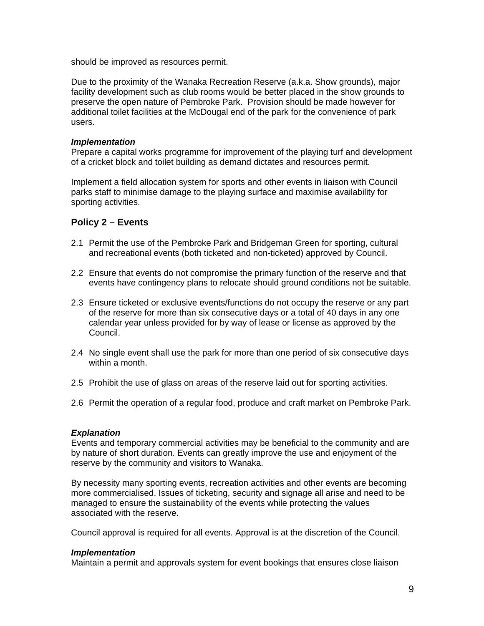should be improved as resources permit.

Due to the proximity of the Wanaka Recreation Reserve (a.k.a. Show grounds), major facility development such as club rooms would be better placed in the show grounds to preserve the open nature of Pembroke Park. Provision should be made however for additional toilet facilities at the McDougal end of the park for the convenience of park users.

#### *Implementation*

Prepare a capital works programme for improvement of the playing turf and development of a cricket block and toilet building as demand dictates and resources permit.

Implement a field allocation system for sports and other events in liaison with Council parks staff to minimise damage to the playing surface and maximise availability for sporting activities.

### **Policy 2 – Events**

- 2.1 Permit the use of the Pembroke Park and Bridgeman Green for sporting, cultural and recreational events (both ticketed and non-ticketed) approved by Council.
- 2.2 Ensure that events do not compromise the primary function of the reserve and that events have contingency plans to relocate should ground conditions not be suitable.
- 2.3 Ensure ticketed or exclusive events/functions do not occupy the reserve or any part of the reserve for more than six consecutive days or a total of 40 days in any one calendar year unless provided for by way of lease or license as approved by the Council.
- 2.4 No single event shall use the park for more than one period of six consecutive days within a month.
- 2.5 Prohibit the use of glass on areas of the reserve laid out for sporting activities.
- 2.6 Permit the operation of a regular food, produce and craft market on Pembroke Park.

### *Explanation*

Events and temporary commercial activities may be beneficial to the community and are by nature of short duration. Events can greatly improve the use and enjoyment of the reserve by the community and visitors to Wanaka.

By necessity many sporting events, recreation activities and other events are becoming more commercialised. Issues of ticketing, security and signage all arise and need to be managed to ensure the sustainability of the events while protecting the values associated with the reserve.

Council approval is required for all events. Approval is at the discretion of the Council.

#### *Implementation*

Maintain a permit and approvals system for event bookings that ensures close liaison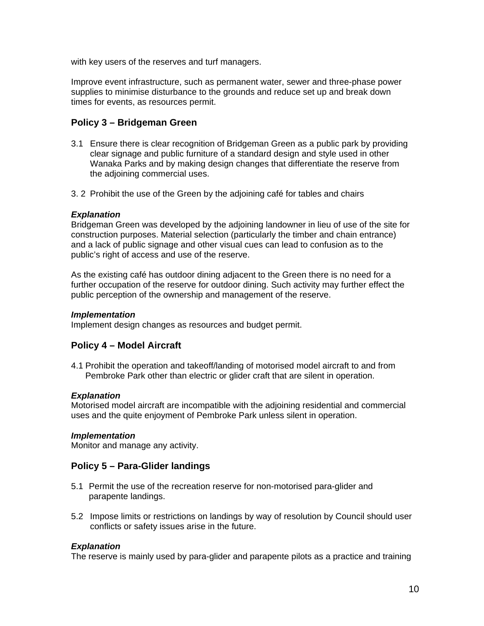with key users of the reserves and turf managers.

Improve event infrastructure, such as permanent water, sewer and three-phase power supplies to minimise disturbance to the grounds and reduce set up and break down times for events, as resources permit.

### **Policy 3 – Bridgeman Green**

- 3.1 Ensure there is clear recognition of Bridgeman Green as a public park by providing clear signage and public furniture of a standard design and style used in other Wanaka Parks and by making design changes that differentiate the reserve from the adjoining commercial uses.
- 3. 2 Prohibit the use of the Green by the adjoining café for tables and chairs

### *Explanation*

Bridgeman Green was developed by the adjoining landowner in lieu of use of the site for construction purposes. Material selection (particularly the timber and chain entrance) and a lack of public signage and other visual cues can lead to confusion as to the public's right of access and use of the reserve.

As the existing café has outdoor dining adjacent to the Green there is no need for a further occupation of the reserve for outdoor dining. Such activity may further effect the public perception of the ownership and management of the reserve.

### *Implementation*

Implement design changes as resources and budget permit.

### **Policy 4 – Model Aircraft**

4.1 Prohibit the operation and takeoff/landing of motorised model aircraft to and from Pembroke Park other than electric or glider craft that are silent in operation.

#### *Explanation*

Motorised model aircraft are incompatible with the adjoining residential and commercial uses and the quite enjoyment of Pembroke Park unless silent in operation.

#### *Implementation*

Monitor and manage any activity.

### **Policy 5 – Para-Glider landings**

- 5.1 Permit the use of the recreation reserve for non-motorised para-glider and parapente landings.
- 5.2 Impose limits or restrictions on landings by way of resolution by Council should user conflicts or safety issues arise in the future.

### *Explanation*

The reserve is mainly used by para-glider and parapente pilots as a practice and training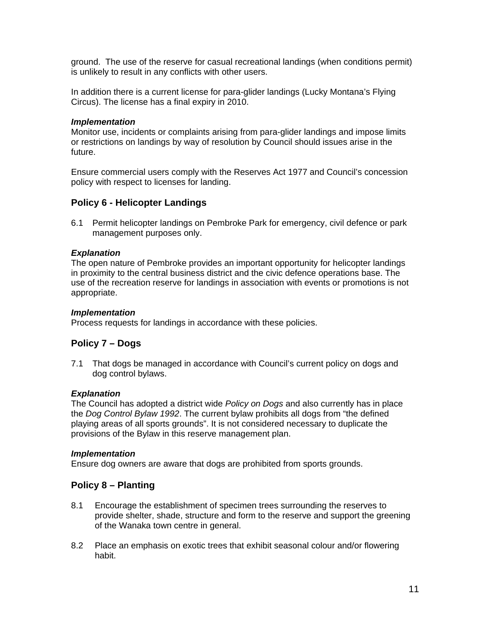ground. The use of the reserve for casual recreational landings (when conditions permit) is unlikely to result in any conflicts with other users.

In addition there is a current license for para-glider landings (Lucky Montana's Flying Circus). The license has a final expiry in 2010.

#### *Implementation*

Monitor use, incidents or complaints arising from para-glider landings and impose limits or restrictions on landings by way of resolution by Council should issues arise in the future.

Ensure commercial users comply with the Reserves Act 1977 and Council's concession policy with respect to licenses for landing.

#### **Policy 6 - Helicopter Landings**

6.1 Permit helicopter landings on Pembroke Park for emergency, civil defence or park management purposes only.

#### *Explanation*

The open nature of Pembroke provides an important opportunity for helicopter landings in proximity to the central business district and the civic defence operations base. The use of the recreation reserve for landings in association with events or promotions is not appropriate.

#### *Implementation*

Process requests for landings in accordance with these policies.

#### **Policy 7 – Dogs**

7.1 That dogs be managed in accordance with Council's current policy on dogs and dog control bylaws.

#### *Explanation*

The Council has adopted a district wide *Policy on Dogs* and also currently has in place the *Dog Control Bylaw 1992*. The current bylaw prohibits all dogs from "the defined playing areas of all sports grounds". It is not considered necessary to duplicate the provisions of the Bylaw in this reserve management plan.

#### *Implementation*

Ensure dog owners are aware that dogs are prohibited from sports grounds.

#### **Policy 8 – Planting**

- 8.1 Encourage the establishment of specimen trees surrounding the reserves to provide shelter, shade, structure and form to the reserve and support the greening of the Wanaka town centre in general.
- 8.2 Place an emphasis on exotic trees that exhibit seasonal colour and/or flowering habit.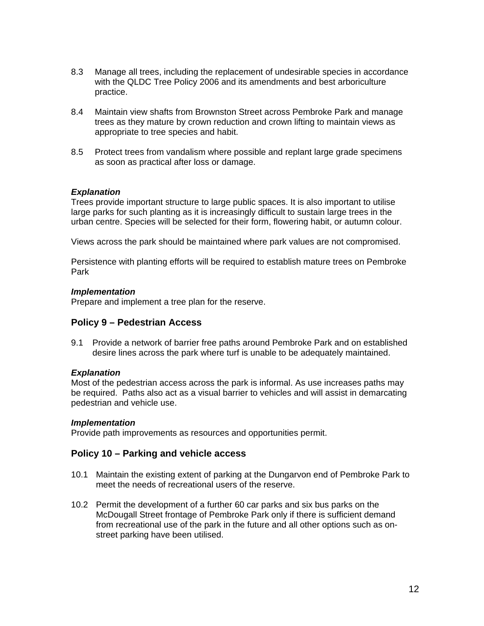- 8.3 Manage all trees, including the replacement of undesirable species in accordance with the QLDC Tree Policy 2006 and its amendments and best arboriculture practice.
- 8.4 Maintain view shafts from Brownston Street across Pembroke Park and manage trees as they mature by crown reduction and crown lifting to maintain views as appropriate to tree species and habit.
- 8.5 Protect trees from vandalism where possible and replant large grade specimens as soon as practical after loss or damage.

Trees provide important structure to large public spaces. It is also important to utilise large parks for such planting as it is increasingly difficult to sustain large trees in the urban centre. Species will be selected for their form, flowering habit, or autumn colour.

Views across the park should be maintained where park values are not compromised.

Persistence with planting efforts will be required to establish mature trees on Pembroke Park

#### *Implementation*

Prepare and implement a tree plan for the reserve.

### **Policy 9 – Pedestrian Access**

9.1 Provide a network of barrier free paths around Pembroke Park and on established desire lines across the park where turf is unable to be adequately maintained.

#### *Explanation*

Most of the pedestrian access across the park is informal. As use increases paths may be required. Paths also act as a visual barrier to vehicles and will assist in demarcating pedestrian and vehicle use.

#### *Implementation*

Provide path improvements as resources and opportunities permit.

### **Policy 10 – Parking and vehicle access**

- 10.1 Maintain the existing extent of parking at the Dungarvon end of Pembroke Park to meet the needs of recreational users of the reserve.
- 10.2 Permit the development of a further 60 car parks and six bus parks on the McDougall Street frontage of Pembroke Park only if there is sufficient demand from recreational use of the park in the future and all other options such as onstreet parking have been utilised.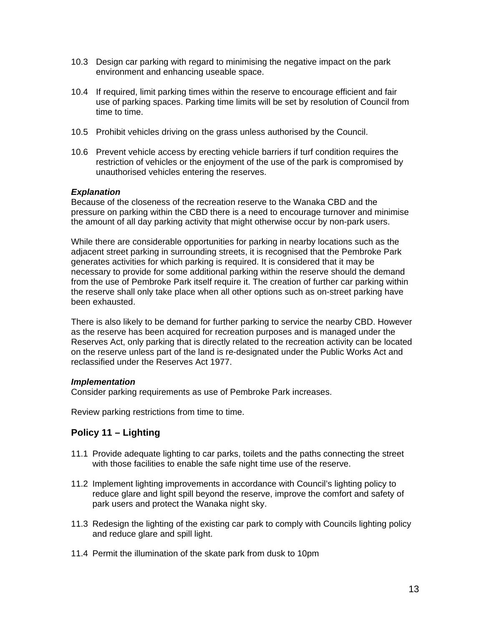- 10.3 Design car parking with regard to minimising the negative impact on the park environment and enhancing useable space.
- 10.4 If required, limit parking times within the reserve to encourage efficient and fair use of parking spaces. Parking time limits will be set by resolution of Council from time to time.
- 10.5 Prohibit vehicles driving on the grass unless authorised by the Council.
- 10.6 Prevent vehicle access by erecting vehicle barriers if turf condition requires the restriction of vehicles or the enjoyment of the use of the park is compromised by unauthorised vehicles entering the reserves.

Because of the closeness of the recreation reserve to the Wanaka CBD and the pressure on parking within the CBD there is a need to encourage turnover and minimise the amount of all day parking activity that might otherwise occur by non-park users.

While there are considerable opportunities for parking in nearby locations such as the adjacent street parking in surrounding streets, it is recognised that the Pembroke Park generates activities for which parking is required. It is considered that it may be necessary to provide for some additional parking within the reserve should the demand from the use of Pembroke Park itself require it. The creation of further car parking within the reserve shall only take place when all other options such as on-street parking have been exhausted.

There is also likely to be demand for further parking to service the nearby CBD. However as the reserve has been acquired for recreation purposes and is managed under the Reserves Act, only parking that is directly related to the recreation activity can be located on the reserve unless part of the land is re-designated under the Public Works Act and reclassified under the Reserves Act 1977.

#### *Implementation*

Consider parking requirements as use of Pembroke Park increases.

Review parking restrictions from time to time.

### **Policy 11 – Lighting**

- 11.1 Provide adequate lighting to car parks, toilets and the paths connecting the street with those facilities to enable the safe night time use of the reserve.
- 11.2 Implement lighting improvements in accordance with Council's lighting policy to reduce glare and light spill beyond the reserve, improve the comfort and safety of park users and protect the Wanaka night sky.
- 11.3 Redesign the lighting of the existing car park to comply with Councils lighting policy and reduce glare and spill light.
- 11.4 Permit the illumination of the skate park from dusk to 10pm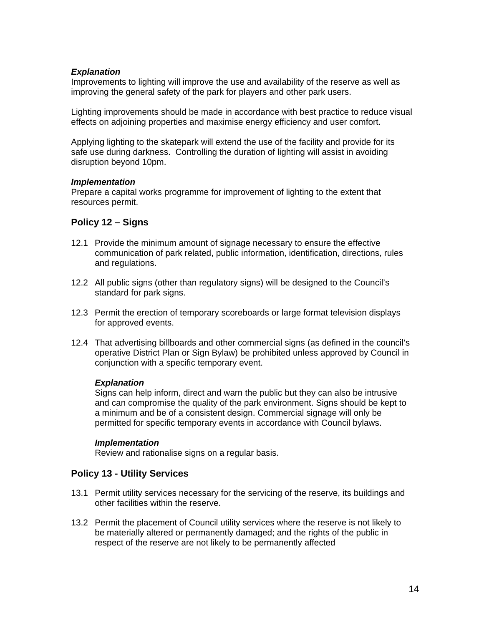Improvements to lighting will improve the use and availability of the reserve as well as improving the general safety of the park for players and other park users.

Lighting improvements should be made in accordance with best practice to reduce visual effects on adjoining properties and maximise energy efficiency and user comfort.

Applying lighting to the skatepark will extend the use of the facility and provide for its safe use during darkness. Controlling the duration of lighting will assist in avoiding disruption beyond 10pm.

#### *Implementation*

Prepare a capital works programme for improvement of lighting to the extent that resources permit.

### **Policy 12 – Signs**

- 12.1 Provide the minimum amount of signage necessary to ensure the effective communication of park related, public information, identification, directions, rules and regulations.
- 12.2 All public signs (other than regulatory signs) will be designed to the Council's standard for park signs.
- 12.3 Permit the erection of temporary scoreboards or large format television displays for approved events.
- 12.4 That advertising billboards and other commercial signs (as defined in the council's operative District Plan or Sign Bylaw) be prohibited unless approved by Council in conjunction with a specific temporary event.

#### *Explanation*

Signs can help inform, direct and warn the public but they can also be intrusive and can compromise the quality of the park environment. Signs should be kept to a minimum and be of a consistent design. Commercial signage will only be permitted for specific temporary events in accordance with Council bylaws.

### *Implementation*

Review and rationalise signs on a regular basis.

### **Policy 13 - Utility Services**

- 13.1 Permit utility services necessary for the servicing of the reserve, its buildings and other facilities within the reserve.
- 13.2 Permit the placement of Council utility services where the reserve is not likely to be materially altered or permanently damaged; and the rights of the public in respect of the reserve are not likely to be permanently affected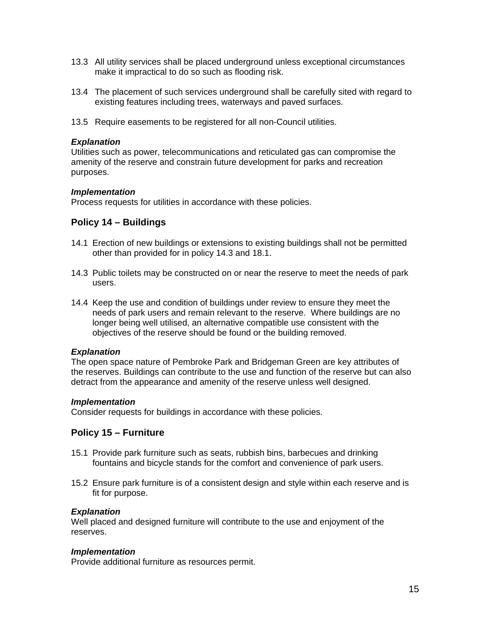- 13.3 All utility services shall be placed underground unless exceptional circumstances make it impractical to do so such as flooding risk.
- 13.4 The placement of such services underground shall be carefully sited with regard to existing features including trees, waterways and paved surfaces.
- 13.5 Require easements to be registered for all non-Council utilities.

Utilities such as power, telecommunications and reticulated gas can compromise the amenity of the reserve and constrain future development for parks and recreation purposes.

#### *Implementation*

Process requests for utilities in accordance with these policies.

### **Policy 14 – Buildings**

- 14.1 Erection of new buildings or extensions to existing buildings shall not be permitted other than provided for in policy 14.3 and 18.1.
- 14.3 Public toilets may be constructed on or near the reserve to meet the needs of park users.
- 14.4 Keep the use and condition of buildings under review to ensure they meet the needs of park users and remain relevant to the reserve. Where buildings are no longer being well utilised, an alternative compatible use consistent with the objectives of the reserve should be found or the building removed.

#### *Explanation*

The open space nature of Pembroke Park and Bridgeman Green are key attributes of the reserves. Buildings can contribute to the use and function of the reserve but can also detract from the appearance and amenity of the reserve unless well designed.

#### *Implementation*

Consider requests for buildings in accordance with these policies.

### **Policy 15 – Furniture**

- 15.1 Provide park furniture such as seats, rubbish bins, barbecues and drinking fountains and bicycle stands for the comfort and convenience of park users.
- 15.2 Ensure park furniture is of a consistent design and style within each reserve and is fit for purpose.

#### *Explanation*

Well placed and designed furniture will contribute to the use and enjoyment of the reserves.

#### *Implementation*

Provide additional furniture as resources permit.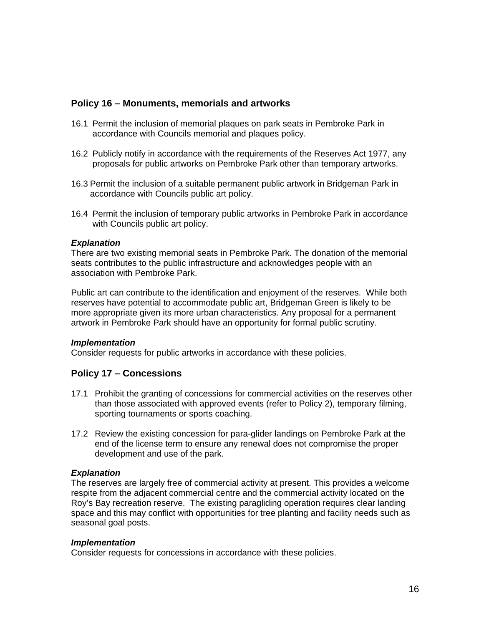### **Policy 16 – Monuments, memorials and artworks**

- 16.1 Permit the inclusion of memorial plaques on park seats in Pembroke Park in accordance with Councils memorial and plaques policy.
- 16.2 Publicly notify in accordance with the requirements of the Reserves Act 1977, any proposals for public artworks on Pembroke Park other than temporary artworks.
- 16.3 Permit the inclusion of a suitable permanent public artwork in Bridgeman Park in accordance with Councils public art policy.
- 16.4 Permit the inclusion of temporary public artworks in Pembroke Park in accordance with Councils public art policy.

#### *Explanation*

There are two existing memorial seats in Pembroke Park. The donation of the memorial seats contributes to the public infrastructure and acknowledges people with an association with Pembroke Park.

Public art can contribute to the identification and enjoyment of the reserves. While both reserves have potential to accommodate public art, Bridgeman Green is likely to be more appropriate given its more urban characteristics. Any proposal for a permanent artwork in Pembroke Park should have an opportunity for formal public scrutiny.

#### *Implementation*

Consider requests for public artworks in accordance with these policies.

### **Policy 17 – Concessions**

- 17.1 Prohibit the granting of concessions for commercial activities on the reserves other than those associated with approved events (refer to Policy 2), temporary filming, sporting tournaments or sports coaching.
- 17.2 Review the existing concession for para-glider landings on Pembroke Park at the end of the license term to ensure any renewal does not compromise the proper development and use of the park.

#### *Explanation*

The reserves are largely free of commercial activity at present. This provides a welcome respite from the adjacent commercial centre and the commercial activity located on the Roy's Bay recreation reserve. The existing paragliding operation requires clear landing space and this may conflict with opportunities for tree planting and facility needs such as seasonal goal posts.

#### *Implementation*

Consider requests for concessions in accordance with these policies.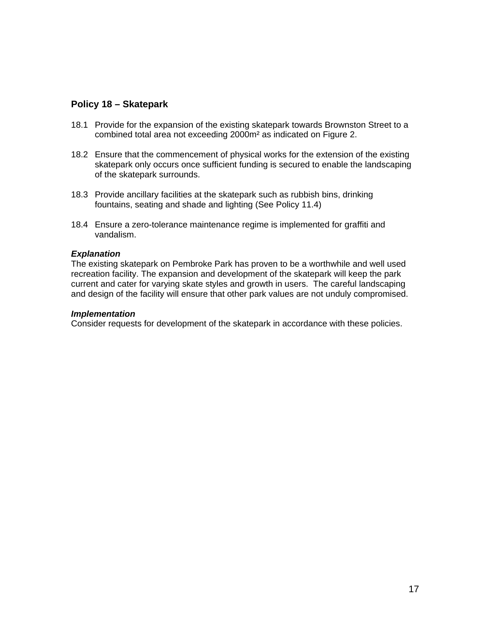### **Policy 18 – Skatepark**

- 18.1 Provide for the expansion of the existing skatepark towards Brownston Street to a combined total area not exceeding 2000m² as indicated on Figure 2.
- 18.2 Ensure that the commencement of physical works for the extension of the existing skatepark only occurs once sufficient funding is secured to enable the landscaping of the skatepark surrounds.
- 18.3 Provide ancillary facilities at the skatepark such as rubbish bins, drinking fountains, seating and shade and lighting (See Policy 11.4)
- 18.4 Ensure a zero-tolerance maintenance regime is implemented for graffiti and vandalism.

#### *Explanation*

The existing skatepark on Pembroke Park has proven to be a worthwhile and well used recreation facility. The expansion and development of the skatepark will keep the park current and cater for varying skate styles and growth in users. The careful landscaping and design of the facility will ensure that other park values are not unduly compromised.

#### *Implementation*

Consider requests for development of the skatepark in accordance with these policies.